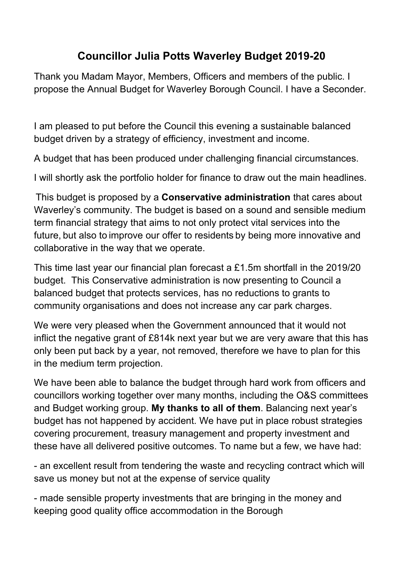## **Councillor Julia Potts Waverley Budget 2019-20**

Thank you Madam Mayor, Members, Officers and members of the public. I propose the Annual Budget for Waverley Borough Council. I have a Seconder.

I am pleased to put before the Council this evening a sustainable balanced budget driven by a strategy of efficiency, investment and income.

A budget that has been produced under challenging financial circumstances.

I will shortly ask the portfolio holder for finance to draw out the main headlines.

This budget is proposed by a **Conservative administration** that cares about Waverley's community. The budget is based on a sound and sensible medium term financial strategy that aims to not only protect vital services into the future, but also to improve our offer to residents by being more innovative and collaborative in the way that we operate.

This time last year our financial plan forecast a £1.5m shortfall in the 2019/20 budget. This Conservative administration is now presenting to Council a balanced budget that protects services, has no reductions to grants to community organisations and does not increase any car park charges.

We were very pleased when the Government announced that it would not inflict the negative grant of £814k next year but we are very aware that this has only been put back by a year, not removed, therefore we have to plan for this in the medium term projection.

We have been able to balance the budget through hard work from officers and councillors working together over many months, including the O&S committees and Budget working group. **My thanks to all of them**. Balancing next year's budget has not happened by accident. We have put in place robust strategies covering procurement, treasury management and property investment and these have all delivered positive outcomes. To name but a few, we have had:

- an excellent result from tendering the waste and recycling contract which will save us money but not at the expense of service quality

- made sensible property investments that are bringing in the money and keeping good quality office accommodation in the Borough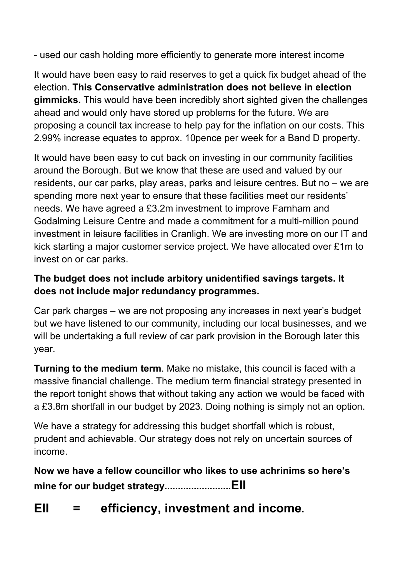- used our cash holding more efficiently to generate more interest income

It would have been easy to raid reserves to get a quick fix budget ahead of the election. **This Conservative administration does not believe in election gimmicks.** This would have been incredibly short sighted given the challenges ahead and would only have stored up problems for the future. We are proposing a council tax increase to help pay for the inflation on our costs. This 2.99% increase equates to approx. 10pence per week for a Band D property.

It would have been easy to cut back on investing in our community facilities around the Borough. But we know that these are used and valued by our residents, our car parks, play areas, parks and leisure centres. But no – we are spending more next year to ensure that these facilities meet our residents' needs. We have agreed a £3.2m investment to improve Farnham and Godalming Leisure Centre and made a commitment for a multi-million pound investment in leisure facilities in Cranligh. We are investing more on our IT and kick starting a major customer service project. We have allocated over £1m to invest on or car parks.

### **The budget does not include arbitory unidentified savings targets. It does not include major redundancy programmes.**

Car park charges – we are not proposing any increases in next year's budget but we have listened to our community, including our local businesses, and we will be undertaking a full review of car park provision in the Borough later this year.

**Turning to the medium term**. Make no mistake, this council is faced with a massive financial challenge. The medium term financial strategy presented in the report tonight shows that without taking any action we would be faced with a £3.8m shortfall in our budget by 2023. Doing nothing is simply not an option.

We have a strategy for addressing this budget shortfall which is robust, prudent and achievable. Our strategy does not rely on uncertain sources of income.

**Now we have a fellow councillor who likes to use achrinims so here's mine for our budget strategy.........................EII**

# **EII = efficiency, investment and income.**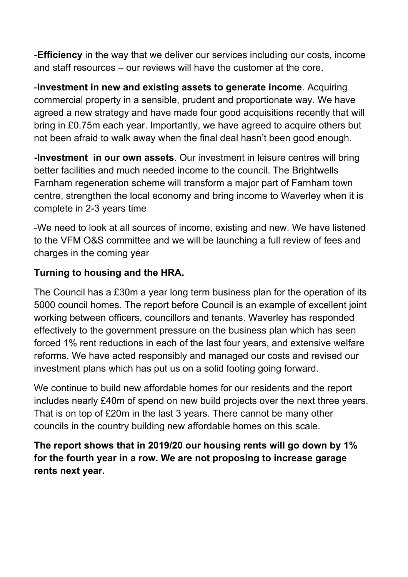-**Efficiency** in the way that we deliver our services including our costs, income and staff resources – our reviews will have the customer at the core.

-**Investment in new and existing assets to generate income**. Acquiring commercial property in a sensible, prudent and proportionate way. We have agreed a new strategy and have made four good acquisitions recently that will bring in £0.75m each year. Importantly, we have agreed to acquire others but not been afraid to walk away when the final deal hasn't been good enough.

**-Investment in our own assets**. Our investment in leisure centres will bring better facilities and much needed income to the council. The Brightwells Farnham regeneration scheme will transform a major part of Farnham town centre, strengthen the local economy and bring income to Waverley when it is complete in 2-3 years time

-We need to look at all sources of income, existing and new. We have listened to the VFM O&S committee and we will be launching a full review of fees and charges in the coming year

### **Turning to housing and the HRA.**

The Council has a £30m a year long term business plan for the operation of its 5000 council homes. The report before Council is an example of excellent joint working between officers, councillors and tenants. Waverley has responded effectively to the government pressure on the business plan which has seen forced 1% rent reductions in each of the last four years, and extensive welfare reforms. We have acted responsibly and managed our costs and revised our investment plans which has put us on a solid footing going forward.

We continue to build new affordable homes for our residents and the report includes nearly £40m of spend on new build projects over the next three years. That is on top of £20m in the last 3 years. There cannot be many other councils in the country building new affordable homes on this scale.

**The report shows that in 2019/20 our housing rents will go down by 1% for the fourth year in a row. We are not proposing to increase garage rents next year.**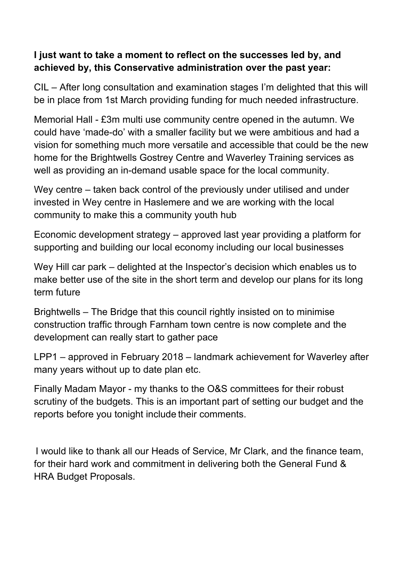#### **I just want to take a moment to reflect on the successes led by, and achieved by, this Conservative administration over the past year:**

CIL – After long consultation and examination stages I'm delighted that this will be in place from 1st March providing funding for much needed infrastructure.

Memorial Hall - £3m multi use community centre opened in the autumn. We could have 'made-do' with a smaller facility but we were ambitious and had a vision for something much more versatile and accessible that could be the new home for the Brightwells Gostrey Centre and Waverley Training services as well as providing an in-demand usable space for the local community.

Wey centre – taken back control of the previously under utilised and under invested in Wey centre in Haslemere and we are working with the local community to make this a community youth hub

Economic development strategy – approved last year providing a platform for supporting and building our local economy including our local businesses

Wey Hill car park – delighted at the Inspector's decision which enables us to make better use of the site in the short term and develop our plans for its long term future

Brightwells – The Bridge that this council rightly insisted on to minimise construction traffic through Farnham town centre is now complete and the development can really start to gather pace

LPP1 – approved in February 2018 – landmark achievement for Waverley after many years without up to date plan etc.

Finally Madam Mayor - my thanks to the O&S committees for their robust scrutiny of the budgets. This is an important part of setting our budget and the reports before you tonight include their comments.

I would like to thank all our Heads of Service, Mr Clark, and the finance team, for their hard work and commitment in delivering both the General Fund & HRA Budget Proposals.